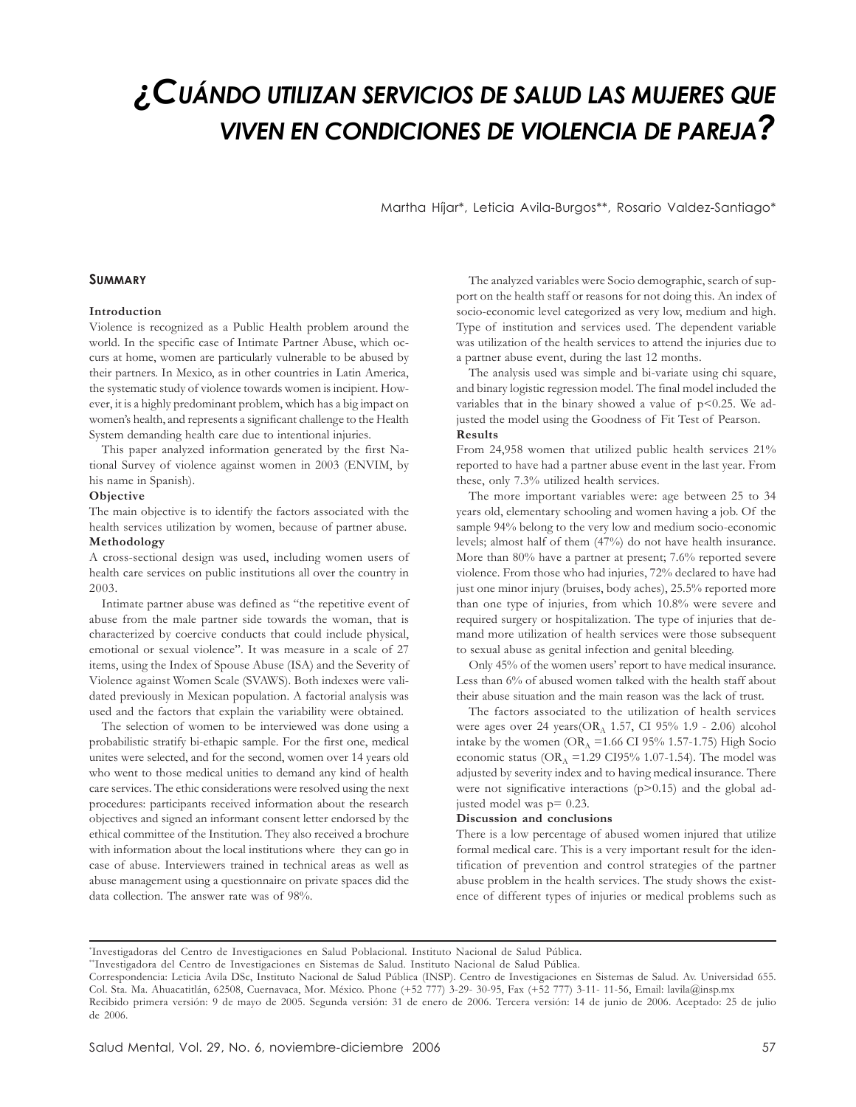# *¿CUÁNDO UTILIZAN SERVICIOS DE SALUD LAS MUJERES QUE VIVEN EN CONDICIONES DE VIOLENCIA DE PAREJA?*

Martha Híjar\*, Leticia Avila-Burgos\*\*, Rosario Valdez-Santiago\*

## **SUMMARY**

# **Introduction**

Violence is recognized as a Public Health problem around the world. In the specific case of Intimate Partner Abuse, which occurs at home, women are particularly vulnerable to be abused by their partners. In Mexico, as in other countries in Latin America, the systematic study of violence towards women is incipient. However, it is a highly predominant problem, which has a big impact on women's health, and represents a significant challenge to the Health System demanding health care due to intentional injuries.

This paper analyzed information generated by the first National Survey of violence against women in 2003 (ENVIM, by his name in Spanish).

#### **Objective**

The main objective is to identify the factors associated with the health services utilization by women, because of partner abuse. **Methodology**

A cross-sectional design was used, including women users of health care services on public institutions all over the country in 2003.

Intimate partner abuse was defined as "the repetitive event of abuse from the male partner side towards the woman, that is characterized by coercive conducts that could include physical, emotional or sexual violence". It was measure in a scale of 27 items, using the Index of Spouse Abuse (ISA) and the Severity of Violence against Women Scale (SVAWS). Both indexes were validated previously in Mexican population. A factorial analysis was used and the factors that explain the variability were obtained.

The selection of women to be interviewed was done using a probabilistic stratify bi-ethapic sample. For the first one, medical unites were selected, and for the second, women over 14 years old who went to those medical unities to demand any kind of health care services. The ethic considerations were resolved using the next procedures: participants received information about the research objectives and signed an informant consent letter endorsed by the ethical committee of the Institution. They also received a brochure with information about the local institutions where they can go in case of abuse. Interviewers trained in technical areas as well as abuse management using a questionnaire on private spaces did the data collection. The answer rate was of 98%.

The analyzed variables were Socio demographic, search of support on the health staff or reasons for not doing this. An index of socio-economic level categorized as very low, medium and high. Type of institution and services used. The dependent variable was utilization of the health services to attend the injuries due to a partner abuse event, during the last 12 months.

The analysis used was simple and bi-variate using chi square, and binary logistic regression model. The final model included the variables that in the binary showed a value of  $p$ <0.25. We adjusted the model using the Goodness of Fit Test of Pearson. **Results**

From 24,958 women that utilized public health services 21% reported to have had a partner abuse event in the last year. From these, only 7.3% utilized health services.

The more important variables were: age between 25 to 34 years old, elementary schooling and women having a job. Of the sample 94% belong to the very low and medium socio-economic levels; almost half of them (47%) do not have health insurance. More than 80% have a partner at present; 7.6% reported severe violence. From those who had injuries, 72% declared to have had just one minor injury (bruises, body aches), 25.5% reported more than one type of injuries, from which 10.8% were severe and required surgery or hospitalization. The type of injuries that demand more utilization of health services were those subsequent to sexual abuse as genital infection and genital bleeding.

Only 45% of the women users' report to have medical insurance. Less than 6% of abused women talked with the health staff about their abuse situation and the main reason was the lack of trust.

The factors associated to the utilization of health services were ages over 24 years( $OR<sub>A</sub>$  1.57, CI 95% 1.9 - 2.06) alcohol intake by the women ( $OR_A = 1.66$  CI 95% 1.57-1.75) High Socio economic status (OR<sub>A</sub> =1.29 CI95% 1.07-1.54). The model was adjusted by severity index and to having medical insurance. There were not significative interactions  $(p>0.15)$  and the global adjusted model was p= 0.23.

#### **Discussion and conclusions**

There is a low percentage of abused women injured that utilize formal medical care. This is a very important result for the identification of prevention and control strategies of the partner abuse problem in the health services. The study shows the existence of different types of injuries or medical problems such as

<sup>\*</sup> Investigadoras del Centro de Investigaciones en Salud Poblacional. Instituto Nacional de Salud Pública.

<sup>\*\*</sup>Investigadora del Centro de Investigaciones en Sistemas de Salud. Instituto Nacional de Salud Pública.

Correspondencia: Leticia Avila DSc, Instituto Nacional de Salud Pública (INSP). Centro de Investigaciones en Sistemas de Salud. Av. Universidad 655. Col. Sta. Ma. Ahuacatitlán, 62508, Cuernavaca, Mor. México. Phone (+52 777) 3-29- 30-95, Fax (+52 777) 3-11- 11-56, Email: lavila@insp.mx Recibido primera versión: 9 de mayo de 2005. Segunda versión: 31 de enero de 2006. Tercera versión: 14 de junio de 2006. Aceptado: 25 de julio de 2006.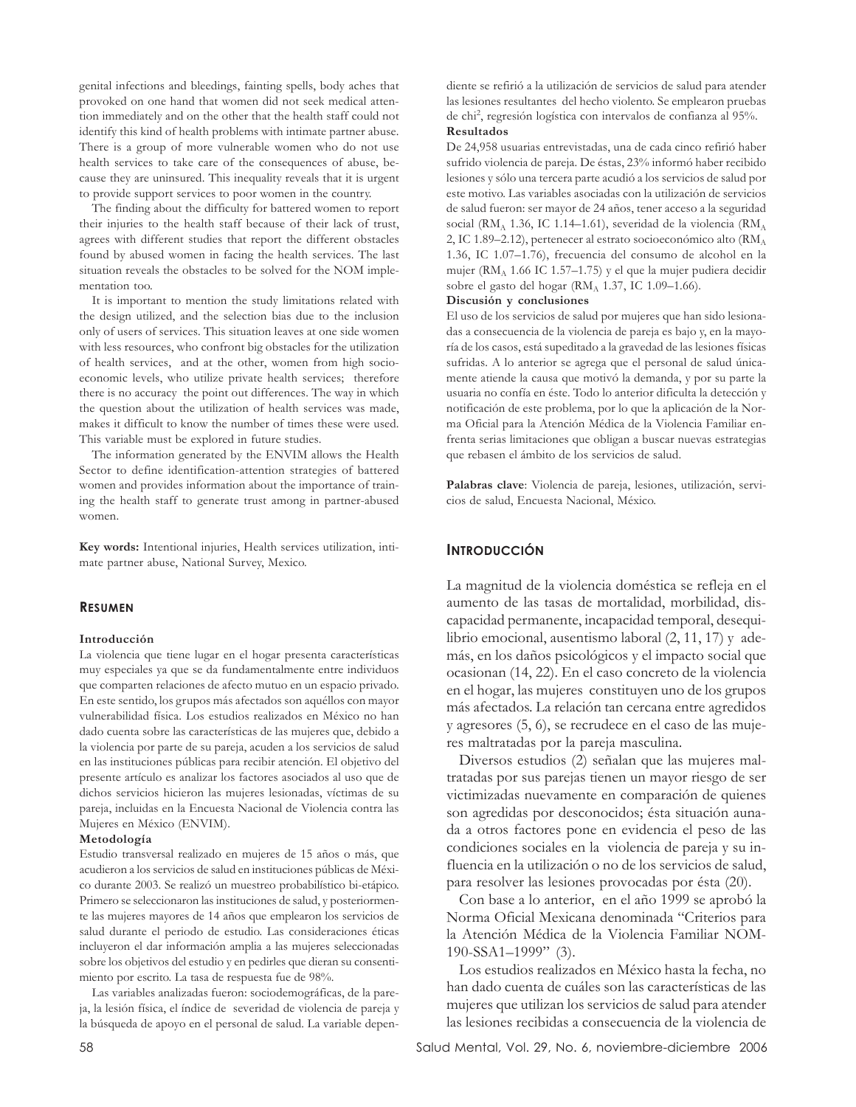genital infections and bleedings, fainting spells, body aches that provoked on one hand that women did not seek medical attention immediately and on the other that the health staff could not identify this kind of health problems with intimate partner abuse. There is a group of more vulnerable women who do not use health services to take care of the consequences of abuse, because they are uninsured. This inequality reveals that it is urgent to provide support services to poor women in the country.

The finding about the difficulty for battered women to report their injuries to the health staff because of their lack of trust, agrees with different studies that report the different obstacles found by abused women in facing the health services. The last situation reveals the obstacles to be solved for the NOM implementation too.

It is important to mention the study limitations related with the design utilized, and the selection bias due to the inclusion only of users of services. This situation leaves at one side women with less resources, who confront big obstacles for the utilization of health services, and at the other, women from high socioeconomic levels, who utilize private health services; therefore there is no accuracy the point out differences. The way in which the question about the utilization of health services was made, makes it difficult to know the number of times these were used. This variable must be explored in future studies.

The information generated by the ENVIM allows the Health Sector to define identification-attention strategies of battered women and provides information about the importance of training the health staff to generate trust among in partner-abused women.

**Key words:** Intentional injuries, Health services utilization, intimate partner abuse, National Survey, Mexico.

# **RESUMEN**

#### **Introducción**

La violencia que tiene lugar en el hogar presenta características muy especiales ya que se da fundamentalmente entre individuos que comparten relaciones de afecto mutuo en un espacio privado. En este sentido, los grupos más afectados son aquéllos con mayor vulnerabilidad física. Los estudios realizados en México no han dado cuenta sobre las características de las mujeres que, debido a la violencia por parte de su pareja, acuden a los servicios de salud en las instituciones públicas para recibir atención. El objetivo del presente artículo es analizar los factores asociados al uso que de dichos servicios hicieron las mujeres lesionadas, víctimas de su pareja, incluidas en la Encuesta Nacional de Violencia contra las Mujeres en México (ENVIM).

## **Metodología**

Estudio transversal realizado en mujeres de 15 años o más, que acudieron a los servicios de salud en instituciones públicas de México durante 2003. Se realizó un muestreo probabilístico bi-etápico. Primero se seleccionaron las instituciones de salud, y posteriormente las mujeres mayores de 14 años que emplearon los servicios de salud durante el periodo de estudio. Las consideraciones éticas incluyeron el dar información amplia a las mujeres seleccionadas sobre los objetivos del estudio y en pedirles que dieran su consentimiento por escrito. La tasa de respuesta fue de 98%.

Las variables analizadas fueron: sociodemográficas, de la pareja, la lesión física, el índice de severidad de violencia de pareja y la búsqueda de apoyo en el personal de salud. La variable dependiente se refirió a la utilización de servicios de salud para atender las lesiones resultantes del hecho violento. Se emplearon pruebas de chi<sup>2</sup> , regresión logística con intervalos de confianza al 95%. **Resultados**

De 24,958 usuarias entrevistadas, una de cada cinco refirió haber sufrido violencia de pareja. De éstas, 23% informó haber recibido lesiones y sólo una tercera parte acudió a los servicios de salud por este motivo. Las variables asociadas con la utilización de servicios de salud fueron: ser mayor de 24 años, tener acceso a la seguridad social (RMA 1.36, IC 1.14–1.61), severidad de la violencia (RMA 2, IC 1.89–2.12), pertenecer al estrato socioeconómico alto (RMA) 1.36, IC 1.07–1.76), frecuencia del consumo de alcohol en la mujer (RMA 1.66 IC 1.57–1.75) y el que la mujer pudiera decidir sobre el gasto del hogar ( $RM_A$  1.37, IC 1.09–1.66).

#### **Discusión y conclusiones**

El uso de los servicios de salud por mujeres que han sido lesionadas a consecuencia de la violencia de pareja es bajo y, en la mayoría de los casos, está supeditado a la gravedad de las lesiones físicas sufridas. A lo anterior se agrega que el personal de salud únicamente atiende la causa que motivó la demanda, y por su parte la usuaria no confía en éste. Todo lo anterior dificulta la detección y notificación de este problema, por lo que la aplicación de la Norma Oficial para la Atención Médica de la Violencia Familiar enfrenta serias limitaciones que obligan a buscar nuevas estrategias que rebasen el ámbito de los servicios de salud.

**Palabras clave**: Violencia de pareja, lesiones, utilización, servicios de salud, Encuesta Nacional, México.

## **INTRODUCCIÓN**

La magnitud de la violencia doméstica se refleja en el aumento de las tasas de mortalidad, morbilidad, discapacidad permanente, incapacidad temporal, desequilibrio emocional, ausentismo laboral (2, 11, 17) y además, en los daños psicológicos y el impacto social que ocasionan (14, 22). En el caso concreto de la violencia en el hogar, las mujeres constituyen uno de los grupos más afectados. La relación tan cercana entre agredidos y agresores (5, 6), se recrudece en el caso de las mujeres maltratadas por la pareja masculina.

Diversos estudios (2) señalan que las mujeres maltratadas por sus parejas tienen un mayor riesgo de ser victimizadas nuevamente en comparación de quienes son agredidas por desconocidos; ésta situación aunada a otros factores pone en evidencia el peso de las condiciones sociales en la violencia de pareja y su influencia en la utilización o no de los servicios de salud, para resolver las lesiones provocadas por ésta (20).

Con base a lo anterior, en el año 1999 se aprobó la Norma Oficial Mexicana denominada "Criterios para la Atención Médica de la Violencia Familiar NOM-190-SSA1–1999" (3).

Los estudios realizados en México hasta la fecha, no han dado cuenta de cuáles son las características de las mujeres que utilizan los servicios de salud para atender las lesiones recibidas a consecuencia de la violencia de

58 Salud Mental, Vol. 29, No. 6, noviembre-diciembre 2006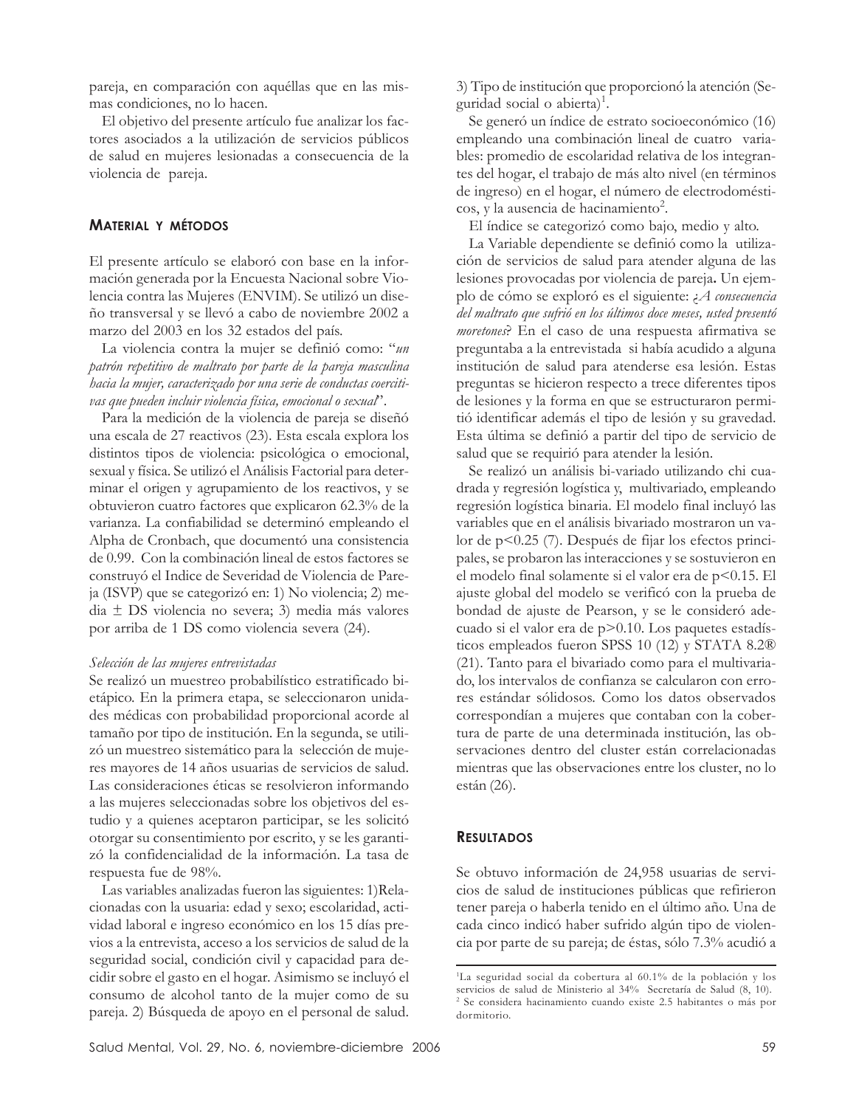pareja, en comparación con aquéllas que en las mismas condiciones, no lo hacen.

El objetivo del presente artículo fue analizar los factores asociados a la utilización de servicios públicos de salud en mujeres lesionadas a consecuencia de la violencia de pareja.

# **MATERIAL Y MÉTODOS**

El presente artículo se elaboró con base en la información generada por la Encuesta Nacional sobre Violencia contra las Mujeres (ENVIM). Se utilizó un diseño transversal y se llevó a cabo de noviembre 2002 a marzo del 2003 en los 32 estados del país.

La violencia contra la mujer se definió como: "*un patrón repetitivo de maltrato por parte de la pareja masculina hacia la mujer, caracterizado por una serie de conductas coercitivas que pueden incluir violencia física, emocional o sexual*".

Para la medición de la violencia de pareja se diseñó una escala de 27 reactivos (23). Esta escala explora los distintos tipos de violencia: psicológica o emocional, sexual y física. Se utilizó el Análisis Factorial para determinar el origen y agrupamiento de los reactivos, y se obtuvieron cuatro factores que explicaron 62.3% de la varianza. La confiabilidad se determinó empleando el Alpha de Cronbach, que documentó una consistencia de 0.99. Con la combinación lineal de estos factores se construyó el Indice de Severidad de Violencia de Pareja (ISVP) que se categorizó en: 1) No violencia; 2) media ± DS violencia no severa; 3) media más valores por arriba de 1 DS como violencia severa (24).

#### *Selección de las mujeres entrevistadas*

Se realizó un muestreo probabilístico estratificado bietápico. En la primera etapa, se seleccionaron unidades médicas con probabilidad proporcional acorde al tamaño por tipo de institución. En la segunda, se utilizó un muestreo sistemático para la selección de mujeres mayores de 14 años usuarias de servicios de salud. Las consideraciones éticas se resolvieron informando a las mujeres seleccionadas sobre los objetivos del estudio y a quienes aceptaron participar, se les solicitó otorgar su consentimiento por escrito, y se les garantizó la confidencialidad de la información. La tasa de respuesta fue de 98%.

Las variables analizadas fueron las siguientes: 1)Relacionadas con la usuaria: edad y sexo; escolaridad, actividad laboral e ingreso económico en los 15 días previos a la entrevista, acceso a los servicios de salud de la seguridad social, condición civil y capacidad para decidir sobre el gasto en el hogar. Asimismo se incluyó el consumo de alcohol tanto de la mujer como de su pareja. 2) Búsqueda de apoyo en el personal de salud. 3) Tipo de institución que proporcionó la atención (Seguridad social o abierta)<sup>1</sup>.

Se generó un índice de estrato socioeconómico (16) empleando una combinación lineal de cuatro variables: promedio de escolaridad relativa de los integrantes del hogar, el trabajo de más alto nivel (en términos de ingreso) en el hogar, el número de electrodomésticos, y la ausencia de hacinamiento<sup>2</sup>.

El índice se categorizó como bajo, medio y alto.

La Variable dependiente se definió como la utilización de servicios de salud para atender alguna de las lesiones provocadas por violencia de pareja**.** Un ejemplo de cómo se exploró es el siguiente: ¿*A consecuencia del maltrato que sufrió en los últimos doce meses, usted presentó moretones*? En el caso de una respuesta afirmativa se preguntaba a la entrevistada si había acudido a alguna institución de salud para atenderse esa lesión. Estas preguntas se hicieron respecto a trece diferentes tipos de lesiones y la forma en que se estructuraron permitió identificar además el tipo de lesión y su gravedad. Esta última se definió a partir del tipo de servicio de salud que se requirió para atender la lesión.

Se realizó un análisis bi-variado utilizando chi cuadrada y regresión logística y, multivariado, empleando regresión logística binaria. El modelo final incluyó las variables que en el análisis bivariado mostraron un valor de p<0.25 (7). Después de fijar los efectos principales, se probaron las interacciones y se sostuvieron en el modelo final solamente si el valor era de p<0.15. El ajuste global del modelo se verificó con la prueba de bondad de ajuste de Pearson, y se le consideró adecuado si el valor era de p>0.10. Los paquetes estadísticos empleados fueron SPSS 10 (12) y STATA 8.2® (21). Tanto para el bivariado como para el multivariado, los intervalos de confianza se calcularon con errores estándar sólidosos. Como los datos observados correspondían a mujeres que contaban con la cobertura de parte de una determinada institución, las observaciones dentro del cluster están correlacionadas mientras que las observaciones entre los cluster, no lo están (26).

# **RESULTADOS**

Se obtuvo información de 24,958 usuarias de servicios de salud de instituciones públicas que refirieron tener pareja o haberla tenido en el último año. Una de cada cinco indicó haber sufrido algún tipo de violencia por parte de su pareja; de éstas, sólo 7.3% acudió a

<sup>1</sup> La seguridad social da cobertura al 60.1% de la población y los servicios de salud de Ministerio al 34% Secretaría de Salud (8, 10). 2 Se considera hacinamiento cuando existe 2.5 habitantes o más por dormitorio.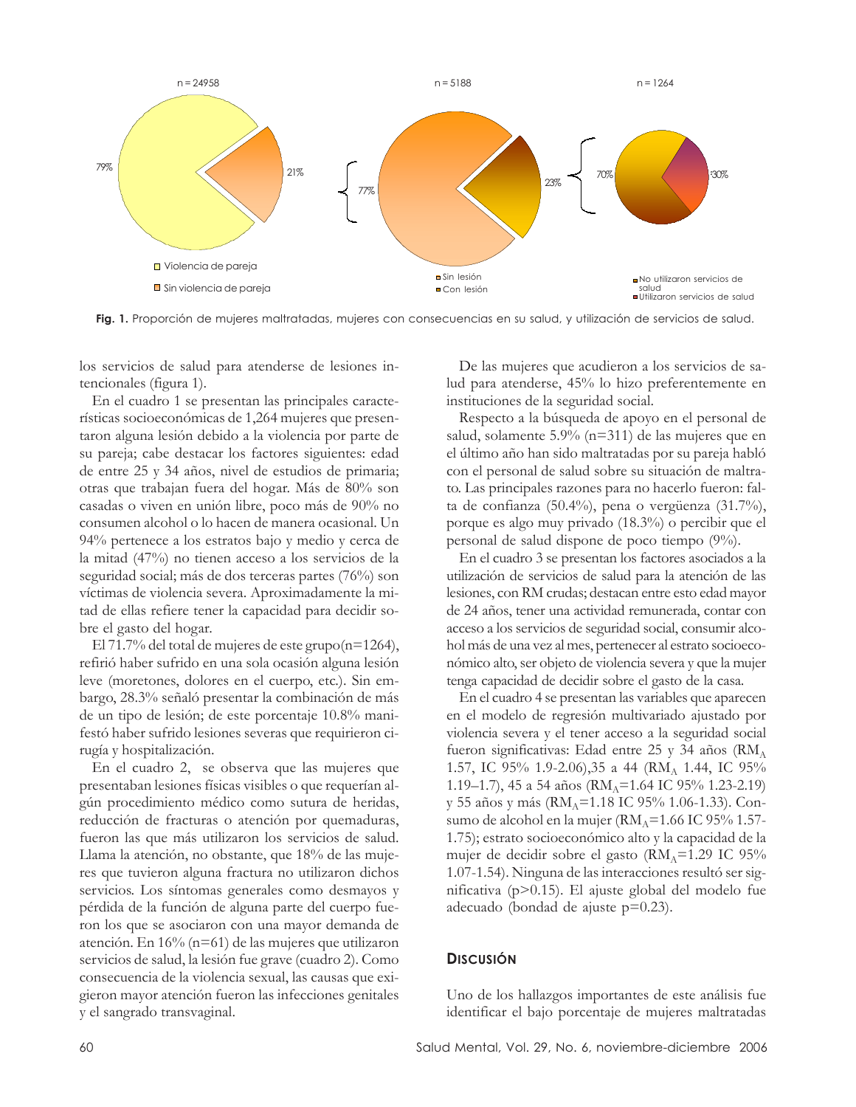

**Fig. 1.** Proporción de mujeres maltratadas, mujeres con consecuencias en su salud, y utilización de servicios de salud.

los servicios de salud para atenderse de lesiones intencionales (figura 1).

En el cuadro 1 se presentan las principales características socioeconómicas de 1,264 mujeres que presentaron alguna lesión debido a la violencia por parte de su pareja; cabe destacar los factores siguientes: edad de entre 25 y 34 años, nivel de estudios de primaria; otras que trabajan fuera del hogar. Más de 80% son casadas o viven en unión libre, poco más de 90% no consumen alcohol o lo hacen de manera ocasional. Un 94% pertenece a los estratos bajo y medio y cerca de la mitad (47%) no tienen acceso a los servicios de la seguridad social; más de dos terceras partes (76%) son víctimas de violencia severa. Aproximadamente la mitad de ellas refiere tener la capacidad para decidir sobre el gasto del hogar.

El 71.7% del total de mujeres de este grupo(n=1264), refirió haber sufrido en una sola ocasión alguna lesión leve (moretones, dolores en el cuerpo, etc.). Sin embargo, 28.3% señaló presentar la combinación de más de un tipo de lesión; de este porcentaje 10.8% manifestó haber sufrido lesiones severas que requirieron cirugía y hospitalización.

En el cuadro 2, se observa que las mujeres que presentaban lesiones físicas visibles o que requerían algún procedimiento médico como sutura de heridas, reducción de fracturas o atención por quemaduras, fueron las que más utilizaron los servicios de salud. Llama la atención, no obstante, que 18% de las mujeres que tuvieron alguna fractura no utilizaron dichos servicios. Los síntomas generales como desmayos y pérdida de la función de alguna parte del cuerpo fueron los que se asociaron con una mayor demanda de atención. En 16% (n=61) de las mujeres que utilizaron servicios de salud, la lesión fue grave (cuadro 2). Como consecuencia de la violencia sexual, las causas que exigieron mayor atención fueron las infecciones genitales y el sangrado transvaginal.

De las mujeres que acudieron a los servicios de salud para atenderse, 45% lo hizo preferentemente en instituciones de la seguridad social.

Respecto a la búsqueda de apoyo en el personal de salud, solamente 5.9% (n=311) de las mujeres que en el último año han sido maltratadas por su pareja habló con el personal de salud sobre su situación de maltrato. Las principales razones para no hacerlo fueron: falta de confianza (50.4%), pena o vergüenza (31.7%), porque es algo muy privado (18.3%) o percibir que el personal de salud dispone de poco tiempo (9%).

En el cuadro 3 se presentan los factores asociados a la utilización de servicios de salud para la atención de las lesiones, con RM crudas; destacan entre esto edad mayor de 24 años, tener una actividad remunerada, contar con acceso a los servicios de seguridad social, consumir alcohol más de una vez al mes, pertenecer al estrato socioeconómico alto, ser objeto de violencia severa y que la mujer tenga capacidad de decidir sobre el gasto de la casa.

En el cuadro 4 se presentan las variables que aparecen en el modelo de regresión multivariado ajustado por violencia severa y el tener acceso a la seguridad social fueron significativas: Edad entre 25 y 34 años ( $\text{RM}_A$ 1.57, IC 95% 1.9-2.06), 35 a 44 (RM<sub>A</sub> 1.44, IC 95% 1.19–1.7), 45 a 54 años ( $RM_A$ =1.64 IC 95% 1.23-2.19) y 55 años y más (RM<sub>A</sub>=1.18 IC 95% 1.06-1.33). Consumo de alcohol en la mujer ( $\text{RM}_A$ =1.66 IC 95% 1.57-1.75); estrato socioeconómico alto y la capacidad de la mujer de decidir sobre el gasto  $\rm (RM_A=1.29 \,\rm IC\,\,95\%$ 1.07-1.54). Ninguna de las interacciones resultó ser significativa (p>0.15). El ajuste global del modelo fue adecuado (bondad de ajuste p=0.23).

# **DISCUSIÓN**

Uno de los hallazgos importantes de este análisis fue identificar el bajo porcentaje de mujeres maltratadas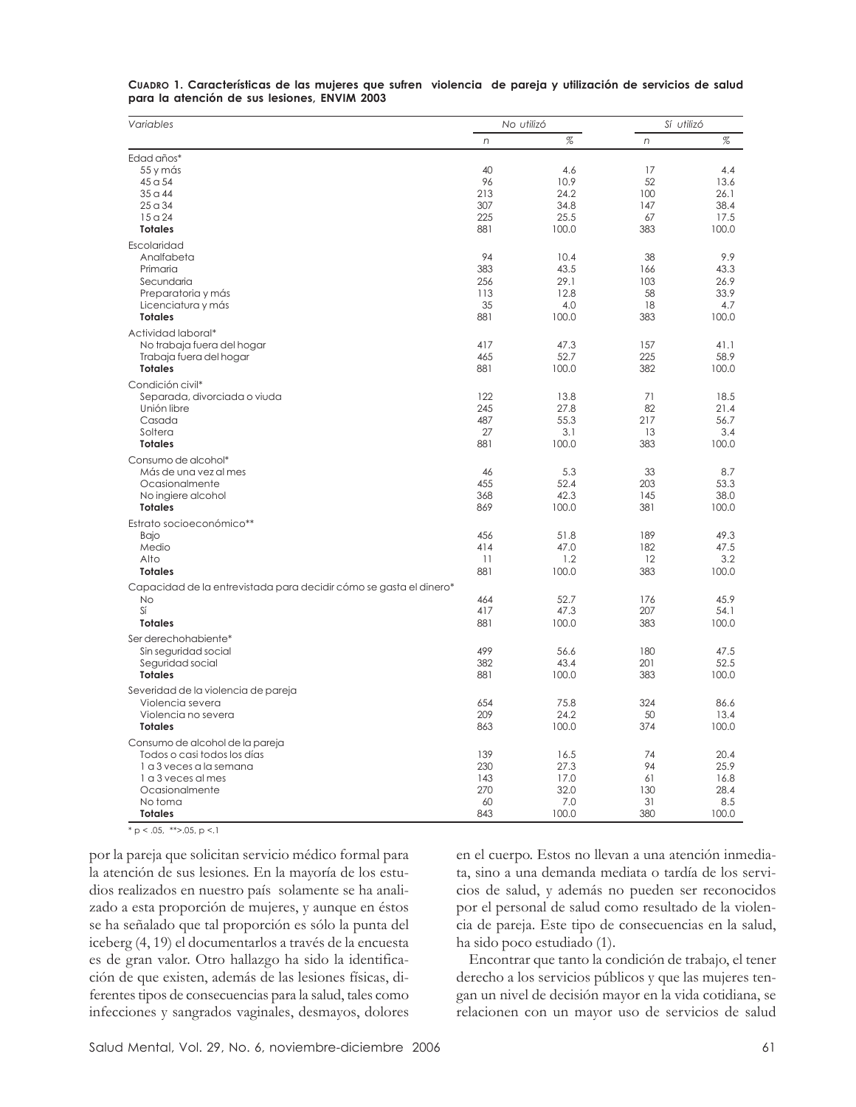| Variables                                                          |     | No utilizó | Sí utilizó |       |  |
|--------------------------------------------------------------------|-----|------------|------------|-------|--|
|                                                                    | n   | $\%$       | n          | $\%$  |  |
| Edad años*                                                         |     |            |            |       |  |
| 55 y más                                                           | 40  | 4.6        | 17         | 4.4   |  |
| 45 a 54                                                            | 96  | 10.9       | 52         | 13.6  |  |
| $350$ 44                                                           | 213 | 24.2       | 100        | 26.1  |  |
| 25a34                                                              | 307 | 34.8       | 147        | 38.4  |  |
| 15a24                                                              | 225 | 25.5       | 67         | 17.5  |  |
| <b>Totales</b>                                                     | 881 | 100.0      | 383        | 100.0 |  |
| Escolaridad                                                        |     |            |            |       |  |
| Analfabeta                                                         | 94  | 10.4       | 38         | 9.9   |  |
| Primaria                                                           | 383 | 43.5       | 166        | 43.3  |  |
| Secundaria                                                         | 256 | 29.1       | 103        | 26.9  |  |
| Preparatoria y más                                                 | 113 | 12.8       | 58         | 33.9  |  |
| Licenciatura y más                                                 | 35  | 4.0        | 18         | 4.7   |  |
| <b>Totales</b>                                                     | 881 | 100.0      | 383        | 100.0 |  |
| Actividad laboral*                                                 |     |            |            |       |  |
| No trabaja fuera del hogar                                         | 417 | 47.3       | 157        | 41.1  |  |
| Trabaja fuera del hogar                                            | 465 | 52.7       | 225        | 58.9  |  |
| <b>Totales</b>                                                     | 881 | 100.0      | 382        | 100.0 |  |
| Condición civil*                                                   |     |            |            |       |  |
| Separada, divorciada o viuda                                       | 122 | 13.8       | 71         | 18.5  |  |
| Unión libre                                                        | 245 | 27.8       | 82         | 21.4  |  |
| Casada                                                             | 487 | 55.3       | 217        | 56.7  |  |
| Soltera                                                            | 27  | 3.1        | 13         | 3.4   |  |
| <b>Totales</b>                                                     | 881 | 100.0      | 383        | 100.0 |  |
| Consumo de alcohol*                                                |     |            |            |       |  |
| Más de una vez al mes                                              | 46  | 5.3        | 33         | 8.7   |  |
| Ocasionalmente                                                     | 455 | 52.4       | 203        | 53.3  |  |
| No ingiere alcohol                                                 | 368 | 42.3       | 145        | 38.0  |  |
| <b>Totales</b>                                                     | 869 | 100.0      | 381        | 100.0 |  |
|                                                                    |     |            |            |       |  |
| Estrato socioeconómico**                                           |     |            |            |       |  |
| Bajo                                                               | 456 | 51.8       | 189        | 49.3  |  |
| Medio<br>Alto                                                      | 414 | 47.0       | 182        | 47.5  |  |
|                                                                    | 11  | 1.2        | 12<br>383  | 3.2   |  |
| <b>Totales</b>                                                     | 881 | 100.0      |            | 100.0 |  |
| Capacidad de la entrevistada para decidir cómo se gasta el dinero* |     |            |            |       |  |
| No                                                                 | 464 | 52.7       | 176        | 45.9  |  |
| Sí                                                                 | 417 | 47.3       | 207        | 54.1  |  |
| <b>Totales</b>                                                     | 881 | 100.0      | 383        | 100.0 |  |
| Ser derechohabiente*                                               |     |            |            |       |  |
| Sin seguridad social                                               | 499 | 56.6       | 180        | 47.5  |  |
| Seguridad social                                                   | 382 | 43.4       | 201        | 52.5  |  |
| <b>Totales</b>                                                     | 881 | 100.0      | 383        | 100.0 |  |
| Severidad de la violencia de pareja                                |     |            |            |       |  |
| Violencia severa                                                   | 654 | 75.8       | 324        | 86.6  |  |
| Violencia no severa                                                | 209 | 24.2       | 50         | 13.4  |  |
| <b>Totales</b>                                                     | 863 | 100.0      | 374        | 100.0 |  |
| Consumo de alcohol de la pareja                                    |     |            |            |       |  |
| Todos o casi todos los días                                        | 139 | 16.5       | 74         | 20.4  |  |
| 1 a 3 yeces a la semana                                            | 230 | 27.3       | 94         | 25.9  |  |
| 1 a 3 yeces al mes                                                 | 143 | 17.0       | 61         | 16.8  |  |
| Ocasionalmente                                                     | 270 | 32.0       | 130        | 28.4  |  |
| No toma                                                            | 60  | 7.0        | 31         | 8.5   |  |
| <b>Totales</b>                                                     | 843 | 100.0      | 380        | 100.0 |  |

**CUADRO 1. Características de las mujeres que sufren violencia de pareja y utilización de servicios de salud para la atención de sus lesiones, ENVIM 2003**

 $* p < .05, **> .05, p < .1$ 

por la pareja que solicitan servicio médico formal para la atención de sus lesiones. En la mayoría de los estudios realizados en nuestro país solamente se ha analizado a esta proporción de mujeres, y aunque en éstos se ha señalado que tal proporción es sólo la punta del iceberg (4, 19) el documentarlos a través de la encuesta es de gran valor. Otro hallazgo ha sido la identificación de que existen, además de las lesiones físicas, diferentes tipos de consecuencias para la salud, tales como infecciones y sangrados vaginales, desmayos, dolores en el cuerpo. Estos no llevan a una atención inmediata, sino a una demanda mediata o tardía de los servicios de salud, y además no pueden ser reconocidos por el personal de salud como resultado de la violencia de pareja. Este tipo de consecuencias en la salud, ha sido poco estudiado (1).

Encontrar que tanto la condición de trabajo, el tener derecho a los servicios públicos y que las mujeres tengan un nivel de decisión mayor en la vida cotidiana, se relacionen con un mayor uso de servicios de salud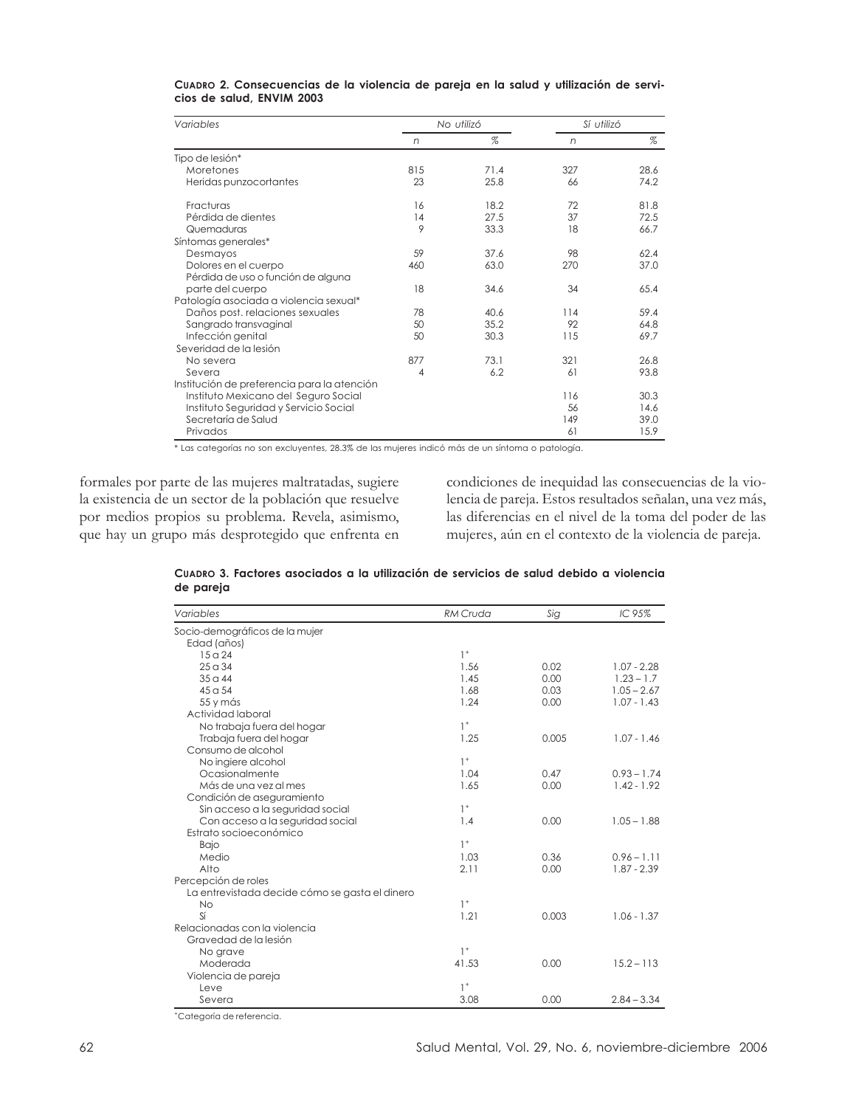| Variables                                   |     | No utilizó | Sí utilizó |      |  |
|---------------------------------------------|-----|------------|------------|------|--|
|                                             | n   | $\%$       | n          | %    |  |
| Tipo de lesión*                             |     |            |            |      |  |
| Moretones                                   | 815 | 71.4       | 327        | 28.6 |  |
| Heridas punzocortantes                      | 23  | 25.8       | 66         | 74.2 |  |
| Fracturas                                   | 16  | 18.2       | 72         | 81.8 |  |
| Pérdida de dientes                          | 14  | 27.5       | 37         | 72.5 |  |
| Quemaduras                                  | 9   | 33.3       | 18         | 66.7 |  |
| Síntomas generales*                         |     |            |            |      |  |
| Desmayos                                    | 59  | 37.6       | 98         | 62.4 |  |
| Dolores en el cuerpo                        | 460 | 63.0       | 270        | 37.0 |  |
| Pérdida de uso o función de alguna          |     |            |            |      |  |
| parte del cuerpo                            | 18  | 34.6       | 34         | 65.4 |  |
| Patología asociada a violencia sexual*      |     |            |            |      |  |
| Daños post, relaciones sexuales             | 78  | 40.6       | 114        | 59.4 |  |
| Sangrado transvaginal                       | 50  | 35.2       | 92         | 64.8 |  |
| Infección genital                           | 50  | 30.3       | 115        | 69.7 |  |
| Severidad de la lesión                      |     |            |            |      |  |
| No severa                                   | 877 | 73.1       | 321        | 26.8 |  |
| Severa                                      | 4   | 6.2        | 61         | 93.8 |  |
| Institución de preferencia para la atención |     |            |            |      |  |
| Instituto Mexicano del Seguro Social        |     |            | 116        | 30.3 |  |
| Instituto Seguridad y Servicio Social       |     |            | 56         | 14.6 |  |
| Secretaría de Salud                         |     |            | 149        | 39.0 |  |
| Privados                                    |     |            | 61         | 15.9 |  |

**CUADRO 2. Consecuencias de la violencia de pareja en la salud y utilización de servicios de salud, ENVIM 2003**

\* Las categorías no son excluyentes, 28.3% de las mujeres indicó más de un síntoma o patología.

formales por parte de las mujeres maltratadas, sugiere la existencia de un sector de la población que resuelve por medios propios su problema. Revela, asimismo, que hay un grupo más desprotegido que enfrenta en

condiciones de inequidad las consecuencias de la violencia de pareja. Estos resultados señalan, una vez más, las diferencias en el nivel de la toma del poder de las mujeres, aún en el contexto de la violencia de pareja.

|           | Cuapro 3. Factores asociados a la utilización de servicios de salud debido a violencia |  |  |  |  |  |
|-----------|----------------------------------------------------------------------------------------|--|--|--|--|--|
| de pareja |                                                                                        |  |  |  |  |  |

| Variables                                      | <b>RM Cruda</b> | Sig   | IC 95%        |
|------------------------------------------------|-----------------|-------|---------------|
| Socio-demográficos de la mujer                 |                 |       |               |
| Edad (años)                                    |                 |       |               |
| 15a24                                          | $1^+$           |       |               |
| 25a34                                          | 1.56            | 0.02  | $1.07 - 2.28$ |
| $35q$ 44                                       | 1.45            | 0.00  | $1.23 - 1.7$  |
| $45 \alpha 54$                                 | 1.68            | 0.03  | $1.05 - 2.67$ |
| 55 y más                                       | 1.24            | 0.00  | $1.07 - 1.43$ |
| Actividad laboral                              |                 |       |               |
| No trabaja fuera del hogar                     | $1^+$           |       |               |
| Trabaja fuera del hogar                        | 1.25            | 0.005 | $1.07 - 1.46$ |
| Consumo de alcohol                             |                 |       |               |
| No ingiere alcohol                             | $1+$            |       |               |
| Ocasionalmente                                 | 1.04            | 0.47  | $0.93 - 1.74$ |
| Más de una vez al mes                          | 1.65            | 0.00  | $1.42 - 1.92$ |
| Condición de aseguramiento                     |                 |       |               |
| Sin acceso a la seguridad social               | $1^+$           |       |               |
| Con acceso a la seguridad social               | 1.4             | 0.00  | $1.05 - 1.88$ |
| Estrato socioeconómico                         |                 |       |               |
| <b>Bajo</b>                                    | $1+$            |       |               |
| Medio                                          | 1.03            | 0.36  | $0.96 - 1.11$ |
| Alto                                           | 2.11            | 0.00  | $1.87 - 2.39$ |
| Percepción de roles                            |                 |       |               |
| La entrevistada decide cómo se gasta el dinero |                 |       |               |
| <b>No</b>                                      | $1^+$           |       |               |
| Sí                                             | 1.21            | 0.003 | $1.06 - 1.37$ |
| Relacionadas con la violencia                  |                 |       |               |
| Gravedad de la lesión                          |                 |       |               |
| No grave                                       | $1+$            |       |               |
| Moderada                                       | 41.53           | 0.00  | $15.2 - 113$  |
| Violencia de pareja                            |                 |       |               |
| Leve                                           | $1+$            |       |               |
| Severa                                         | 3.08            | 0.00  | $2.84 - 3.34$ |

+Categoría de referencia.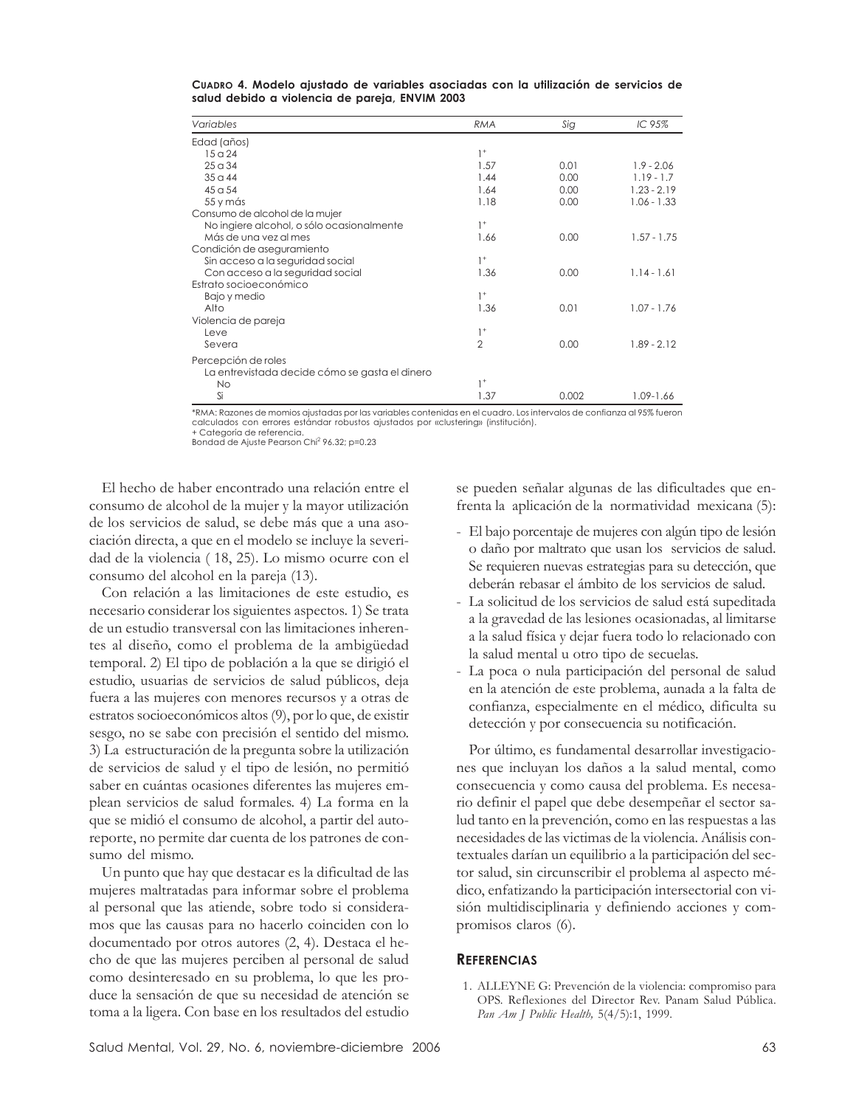| Variables                                      | <b>RMA</b>     | Sig   | IC 95%        |
|------------------------------------------------|----------------|-------|---------------|
| Edad (años)                                    |                |       |               |
| 15a24                                          | $1^+$          |       |               |
| 25a34                                          | 1.57           | 0.01  | $1.9 - 2.06$  |
| $350$ 44                                       | 1.44           | 0.00  | $1.19 - 1.7$  |
| 45 <sub>0</sub> 54                             | 1.64           | 0.00  | $1.23 - 2.19$ |
| 55 y más                                       | 1.18           | 0.00  | $1.06 - 1.33$ |
| Consumo de alcohol de la mujer                 |                |       |               |
| No ingiere alcohol, o sólo ocasionalmente      | $1^+$          |       |               |
| Más de una vez al mes                          | 1.66           | 0.00  | $1.57 - 1.75$ |
| Condición de aseguramiento                     |                |       |               |
| Sin acceso a la seguridad social               | $1+$           |       |               |
| Con acceso a la seguridad social               | 1.36           | 0.00  | $1.14 - 1.61$ |
| Estrato socioeconómico                         |                |       |               |
| Bajo y medio                                   | $1^+$          |       |               |
| Alto                                           | 1.36           | 0.01  | $1.07 - 1.76$ |
| Violencia de pareja                            |                |       |               |
| Leve                                           | $1^+$          |       |               |
| Severa                                         | $\overline{2}$ | 0.00  | $1.89 - 2.12$ |
| Percepción de roles                            |                |       |               |
| La entrevistada decide cómo se gasta el dinero |                |       |               |
| <b>No</b>                                      | $1^+$          |       |               |
| Si                                             | 1.37           | 0.002 | 1.09-1.66     |

**CUADRO 4. Modelo ajustado de variables asociadas con la utilización de servicios de salud debido a violencia de pareja, ENVIM 2003**

\*RMA: Razones de momios ajustadas por las variables contenidas en el cuadro. Los intervalos de confianza al 95% fueron calculados con errores estándar robustos ajustados por «clustering» (institución). + Categoría de referencia.

Bondad de Ajuste Pearson Chi<sup>2</sup> 96.32; p=0.23

El hecho de haber encontrado una relación entre el consumo de alcohol de la mujer y la mayor utilización de los servicios de salud, se debe más que a una asociación directa, a que en el modelo se incluye la severidad de la violencia ( 18, 25). Lo mismo ocurre con el consumo del alcohol en la pareja (13).

Con relación a las limitaciones de este estudio, es necesario considerar los siguientes aspectos. 1) Se trata de un estudio transversal con las limitaciones inherentes al diseño, como el problema de la ambigüedad temporal. 2) El tipo de población a la que se dirigió el estudio, usuarias de servicios de salud públicos, deja fuera a las mujeres con menores recursos y a otras de estratos socioeconómicos altos (9), por lo que, de existir sesgo, no se sabe con precisión el sentido del mismo. 3) La estructuración de la pregunta sobre la utilización de servicios de salud y el tipo de lesión, no permitió saber en cuántas ocasiones diferentes las mujeres emplean servicios de salud formales. 4) La forma en la que se midió el consumo de alcohol, a partir del autoreporte, no permite dar cuenta de los patrones de consumo del mismo.

Un punto que hay que destacar es la dificultad de las mujeres maltratadas para informar sobre el problema al personal que las atiende, sobre todo si consideramos que las causas para no hacerlo coinciden con lo documentado por otros autores (2, 4). Destaca el hecho de que las mujeres perciben al personal de salud como desinteresado en su problema, lo que les produce la sensación de que su necesidad de atención se toma a la ligera. Con base en los resultados del estudio se pueden señalar algunas de las dificultades que enfrenta la aplicación de la normatividad mexicana (5):

- El bajo porcentaje de mujeres con algún tipo de lesión o daño por maltrato que usan los servicios de salud. Se requieren nuevas estrategias para su detección, que deberán rebasar el ámbito de los servicios de salud.
- La solicitud de los servicios de salud está supeditada a la gravedad de las lesiones ocasionadas, al limitarse a la salud física y dejar fuera todo lo relacionado con la salud mental u otro tipo de secuelas.
- La poca o nula participación del personal de salud en la atención de este problema, aunada a la falta de confianza, especialmente en el médico, dificulta su detección y por consecuencia su notificación.

Por último, es fundamental desarrollar investigaciones que incluyan los daños a la salud mental, como consecuencia y como causa del problema. Es necesario definir el papel que debe desempeñar el sector salud tanto en la prevención, como en las respuestas a las necesidades de las victimas de la violencia. Análisis contextuales darían un equilibrio a la participación del sector salud, sin circunscribir el problema al aspecto médico, enfatizando la participación intersectorial con visión multidisciplinaria y definiendo acciones y compromisos claros (6).

# **REFERENCIAS**

1. ALLEYNE G: Prevención de la violencia: compromiso para OPS. Reflexiones del Director Rev. Panam Salud Pública. *Pan Am J Public Health,* 5(4/5):1, 1999.